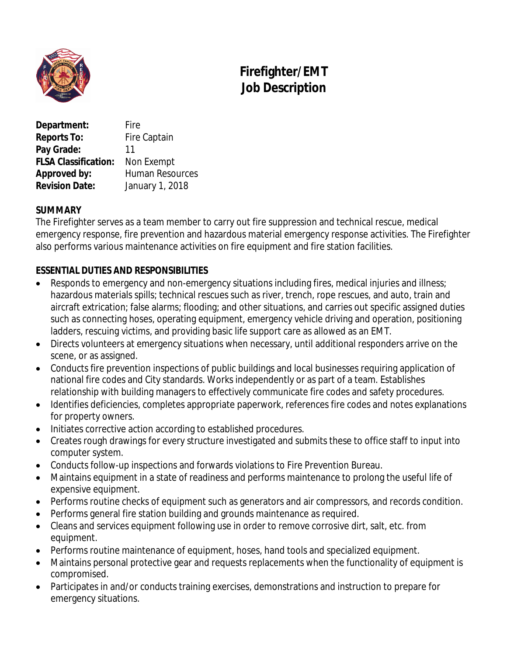

# **Firefighter/EMT Job Description**

**Department:** Fire **Reports To:** Fire Captain Pay Grade: 11 **FLSA Classification:** Non Exempt **Approved by:** Human Resources **Revision Date:** January 1, 2018

## **SUMMARY**

The Firefighter serves as a team member to carry out fire suppression and technical rescue, medical emergency response, fire prevention and hazardous material emergency response activities. The Firefighter also performs various maintenance activities on fire equipment and fire station facilities.

## **ESSENTIAL DUTIES AND RESPONSIBILITIES**

- Responds to emergency and non-emergency situations including fires, medical injuries and illness; hazardous materials spills; technical rescues such as river, trench, rope rescues, and auto, train and aircraft extrication; false alarms; flooding; and other situations, and carries out specific assigned duties such as connecting hoses, operating equipment, emergency vehicle driving and operation, positioning ladders, rescuing victims, and providing basic life support care as allowed as an EMT.
- Directs volunteers at emergency situations when necessary, until additional responders arrive on the scene, or as assigned.
- Conducts fire prevention inspections of public buildings and local businesses requiring application of national fire codes and City standards. Works independently or as part of a team. Establishes relationship with building managers to effectively communicate fire codes and safety procedures.
- Identifies deficiencies, completes appropriate paperwork, references fire codes and notes explanations for property owners.
- $\bullet$  Initiates corrective action according to established procedures.
- Creates rough drawings for every structure investigated and submits these to office staff to input into computer system.
- Conducts follow-up inspections and forwards violations to Fire Prevention Bureau.
- Maintains equipment in a state of readiness and performs maintenance to prolong the useful life of expensive equipment.
- Performs routine checks of equipment such as generators and air compressors, and records condition.
- Performs general fire station building and grounds maintenance as required.
- Cleans and services equipment following use in order to remove corrosive dirt, salt, etc. from equipment.
- Performs routine maintenance of equipment, hoses, hand tools and specialized equipment.
- Maintains personal protective gear and requests replacements when the functionality of equipment is compromised.
- Participates in and/or conducts training exercises, demonstrations and instruction to prepare for emergency situations.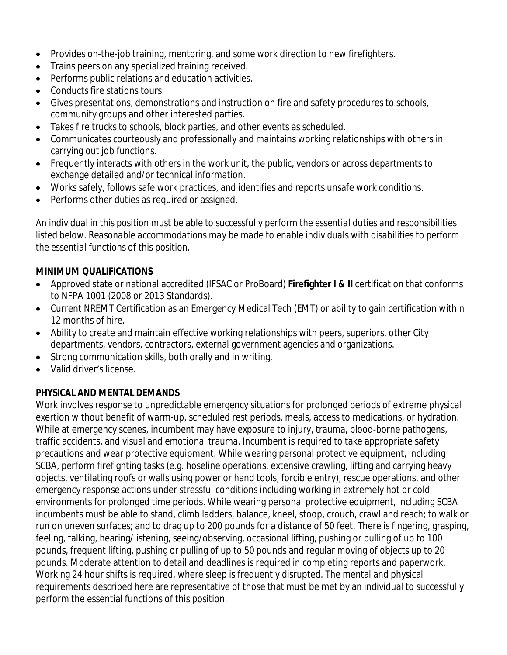- Provides on-the-job training, mentoring, and some work direction to new firefighters.
- Trains peers on any specialized training received.
- Performs public relations and education activities.
- Conducts fire stations tours.
- Gives presentations, demonstrations and instruction on fire and safety procedures to schools, community groups and other interested parties.
- Takes fire trucks to schools, block parties, and other events as scheduled.
- Communicates courteously and professionally and maintains working relationships with others in carrying out job functions.
- Frequently interacts with others in the work unit, the public, vendors or across departments to exchange detailed and/or technical information.
- Works safely, follows safe work practices, and identifies and reports unsafe work conditions.
- Performs other duties as required or assigned.

*An individual in this position must be able to successfully perform the essential duties and responsibilities listed below. Reasonable accommodations may be made to enable individuals with disabilities to perform the essential functions of this position.*

## **MINIMUM QUALIFICATIONS**

- Approved state or national accredited (IFSAC or ProBoard) **Firefighter I & II** certification that conforms to NFPA 1001 (2008 or 2013 Standards).
- Current NREMT Certification as an Emergency Medical Tech (EMT) or ability to gain certification within 12 months of hire.
- Ability to create and maintain effective working relationships with peers, superiors, other City departments, vendors, contractors, external government agencies and organizations.
- Strong communication skills, both orally and in writing.
- Valid driver's license.

## **PHYSICAL AND MENTAL DEMANDS**

Work involves response to unpredictable emergency situations for prolonged periods of extreme physical exertion without benefit of warm-up, scheduled rest periods, meals, access to medications, or hydration. While at emergency scenes, incumbent may have exposure to injury, trauma, blood-borne pathogens, traffic accidents, and visual and emotional trauma. Incumbent is required to take appropriate safety precautions and wear protective equipment. While wearing personal protective equipment, including SCBA, perform firefighting tasks (e.g. hoseline operations, extensive crawling, lifting and carrying heavy objects, ventilating roofs or walls using power or hand tools, forcible entry), rescue operations, and other emergency response actions under stressful conditions including working in extremely hot or cold environments for prolonged time periods. While wearing personal protective equipment, including SCBA incumbents must be able to stand, climb ladders, balance, kneel, stoop, crouch, crawl and reach; to walk or run on uneven surfaces; and to drag up to 200 pounds for a distance of 50 feet. There is fingering, grasping, feeling, talking, hearing/listening, seeing/observing, occasional lifting, pushing or pulling of up to 100 pounds, frequent lifting, pushing or pulling of up to 50 pounds and regular moving of objects up to 20 pounds. Moderate attention to detail and deadlines is required in completing reports and paperwork. Working 24 hour shifts is required, where sleep is frequently disrupted. The mental and physical requirements described here are representative of those that must be met by an individual to successfully perform the essential functions of this position.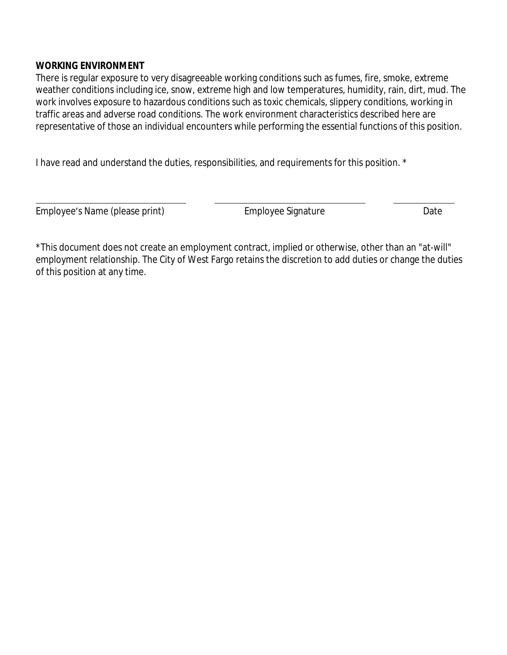#### **WORKING ENVIRONMENT**

There is regular exposure to very disagreeable working conditions such as fumes, fire, smoke, extreme weather conditions including ice, snow, extreme high and low temperatures, humidity, rain, dirt, mud. The work involves exposure to hazardous conditions such as toxic chemicals, slippery conditions, working in traffic areas and adverse road conditions. The work environment characteristics described here are representative of those an individual encounters while performing the essential functions of this position.

I have read and understand the duties, responsibilities, and requirements for this position. \*

Employee's Name (please print) and Employee Signature and Date

 $\overline{a}$ 

\*This document does not create an employment contract, implied or otherwise, other than an "at-will" employment relationship. The City of West Fargo retains the discretion to add duties or change the duties of this position at any time.